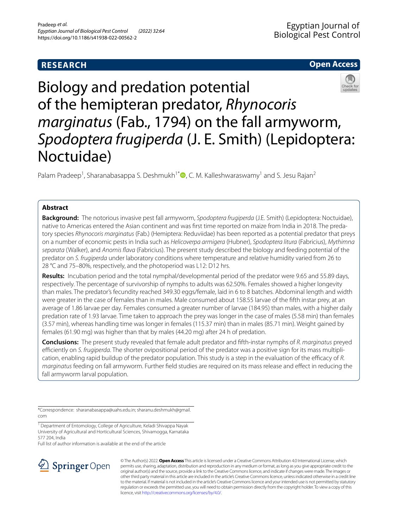# **RESEARCH**

# **Open Access**



Biology and predation potential of the hemipteran predator, *Rhynocoris marginatus* (Fab., 1794) on the fall armyworm, *Spodoptera frugiperda* (J. E. Smith) (Lepidoptera: Noctuidae)

Palam Pradeep<sup>1</sup>[,](http://orcid.org/0000-0001-7447-0126) Sharanabasappa S. Deshmukh<sup>1\*</sup> $\bullet$ , C. M. Kalleshwaraswamy<sup>1</sup> and S. Jesu Rajan<sup>2</sup>

# **Abstract**

**Background:** The notorious invasive pest fall armyworm, *Spodoptera frugiperda* (J.E. Smith) (Lepidoptera: Noctuidae), native to Americas entered the Asian continent and was frst time reported on maize from India in 2018. The predatory species *Rhynocoris marginatus* (Fab.) (Hemiptera: Reduviidae) has been reported as a potential predator that preys on a number of economic pests in India such as *Helicoverpa armigera* (Hubner), *Spodoptera litura* (Fabricius), *Mythimna separata* (Walker), and *Anomis fava* (Fabricius). The present study described the biology and feeding potential of the predator on *S. frugiperda* under laboratory conditions where temperature and relative humidity varied from 26 to 28 °C and 75–80%, respectively, and the photoperiod was L12: D12 hrs.

**Results:** Incubation period and the total nymphal/developmental period of the predator were 9.65 and 55.89 days, respectively. The percentage of survivorship of nymphs to adults was 62.50%. Females showed a higher longevity than males. The predator's fecundity reached 349.30 eggs/female, laid in 6 to 8 batches. Abdominal length and width were greater in the case of females than in males. Male consumed about 158.55 larvae of the ffth instar prey, at an average of 1.86 larvae per day. Females consumed a greater number of larvae (184.95) than males, with a higher daily predation rate of 1.93 larvae. Time taken to approach the prey was longer in the case of males (5.58 min) than females (3.57 min), whereas handling time was longer in females (115.37 min) than in males (85.71 min). Weight gained by females (61.90 mg) was higher than that by males (44.20 mg) after 24 h of predation.

**Conclusions:** The present study revealed that female adult predator and ffth-instar nymphs of *R. marginatus* preyed efficiently on *S. frugiperda*. The shorter ovipositional period of the predator was a positive sign for its mass multiplication, enabling rapid buildup of the predator population. This study is a step in the evaluation of the efficacy of R. *marginatus* feeding on fall armyworm. Further feld studies are required on its mass release and efect in reducing the fall armyworm larval population.

\*Correspondence: sharanabasappa@uahs.edu.in; sharanu.deshmukh@gmail. com

<sup>1</sup> Department of Entomology, College of Agriculture, Keladi Shivappa Nayak University of Agricultural and Horticultural Sciences, Shivamogga, Karnataka 577 204, India

Full list of author information is available at the end of the article



© The Author(s) 2022. **Open Access** This article is licensed under a Creative Commons Attribution 4.0 International License, which permits use, sharing, adaptation, distribution and reproduction in any medium or format, as long as you give appropriate credit to the original author(s) and the source, provide a link to the Creative Commons licence, and indicate if changes were made. The images or other third party material in this article are included in the article's Creative Commons licence, unless indicated otherwise in a credit line to the material. If material is not included in the article's Creative Commons licence and your intended use is not permitted by statutory regulation or exceeds the permitted use, you will need to obtain permission directly from the copyright holder. To view a copy of this licence, visit [http://creativecommons.org/licenses/by/4.0/.](http://creativecommons.org/licenses/by/4.0/)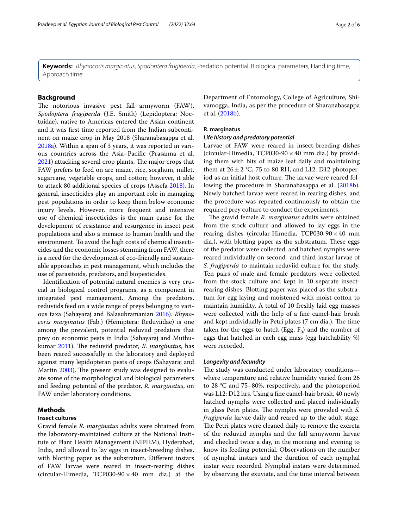**Keywords:** *Rhynocoris marginatus*, *Spodoptera frugiperda*, Predation potential, Biological parameters, Handling time, Approach time

# **Background**

The notorious invasive pest fall armyworm (FAW), *Spodoptera frugiperda* (J.E. Smith) (Lepidoptera: Noctuidae), native to Americas entered the Asian continent and it was frst time reported from the Indian subcontinent on maize crop in May 2018 (Sharanabasappa et al. [2018a\)](#page-5-0). Within a span of 3 years, it was reported in various countries across the Asia–Pacifc (Prasanna et al.  $2021$ ) attacking several crop plants. The major crops that FAW prefers to feed on are maize, rice, sorghum, millet, sugarcane, vegetable crops, and cotton; however, it able to attack 80 additional species of crops (Assefa [2018](#page-5-2)). In general, insecticides play an important role in managing pest populations in order to keep them below economic injury levels. However, more frequent and intensive use of chemical insecticides is the main cause for the development of resistance and resurgence in insect pest populations and also a menace to human health and the environment. To avoid the high costs of chemical insecticides and the economic losses stemming from FAW, there is a need for the development of eco-friendly and sustainable approaches in pest management, which includes the use of parasitoids, predators, and biopesticides.

Identifcation of potential natural enemies is very crucial in biological control programs, as a component in integrated pest management. Among the predators, reduviids feed on a wide range of preys belonging to various taxa (Sahayaraj and Balasubramanian [2016\)](#page-5-3). *Rhynocoris marginatus* (Fab.) (Hemiptera: Reduviidae) is one among the prevalent, potential reduviid predators that prey on economic pests in India (Sahayaraj and Muthu-kumar [2011\)](#page-5-4). The reduviid predator, *R. marginatus*, has been reared successfully in the laboratory and deployed against many lepidopteran pests of crops (Sahayaraj and Martin [2003\)](#page-5-5). The present study was designed to evaluate some of the morphological and biological parameters and feeding potential of the predator, *R. marginatus*, on FAW under laboratory conditions.

# **Methods**

### **Insect cultures**

Gravid female *R. marginatus* adults were obtained from the laboratory-maintained culture at the National Institute of Plant Health Management (NIPHM), Hyderabad, India, and allowed to lay eggs in insect-breeding dishes, with blotting paper as the substratum. Different instars of FAW larvae were reared in insect-rearing dishes (circular-Himedia, TCP030-90 $\times$ 40 mm dia.) at the Department of Entomology, College of Agriculture, Shivamogga, India, as per the procedure of Sharanabasappa et al. ([2018b](#page-5-6)).

# **R. marginatus**

# *Life history and predatory potential*

Larvae of FAW were reared in insect-breeding dishes (circular-Himedia, TCP030-90  $\times$  40 mm dia.) by providing them with bits of maize leaf daily and maintaining them at  $26 \pm 2$  °C, 75 to 80 RH, and L12: D12 photoperiod as an initial host culture. The larvae were reared fol-lowing the procedure in Sharanabasappa et al. [\(2018b](#page-5-6)). Newly hatched larvae were reared in rearing dishes, and the procedure was repeated continuously to obtain the required prey culture to conduct the experiments.

The gravid female *R. marginatus* adults were obtained from the stock culture and allowed to lay eggs in the rearing dishes (circular-Himedia, TCP030-90  $\times$  40 mm dia.), with blotting paper as the substratum. These eggs of the predator were collected, and hatched nymphs were reared individually on second- and third-instar larvae of *S. frugiperda* to maintain reduviid culture for the study. Ten pairs of male and female predators were collected from the stock culture and kept in 10 separate insectrearing dishes. Blotting paper was placed as the substratum for egg laying and moistened with moist cotton to maintain humidity. A total of 10 freshly laid egg masses were collected with the help of a fne camel-hair brush and kept individually in Petri plates (7 cm dia.). The time taken for the eggs to hatch (Egg,  $F_0$ ) and the number of eggs that hatched in each egg mass (egg hatchability %) were recorded.

## *Longevity and fecundity*

The study was conducted under laboratory conditionswhere temperature and relative humidity varied from 26 to 28 °C and 75–80%, respectively, and the photoperiod was L12: D12 hrs. Using a fne camel-hair brush, 40 newly hatched nymphs were collected and placed individually in glass Petri plates. The nymphs were provided with *S*. *frugiperda* larvae daily and reared up to the adult stage. The Petri plates were cleaned daily to remove the excreta of the reduviid nymphs and the fall armyworm larvae and checked twice a day, in the morning and evening to know its feeding potential. Observations on the number of nymphal instars and the duration of each nymphal instar were recorded. Nymphal instars were determined by observing the exuviate, and the time interval between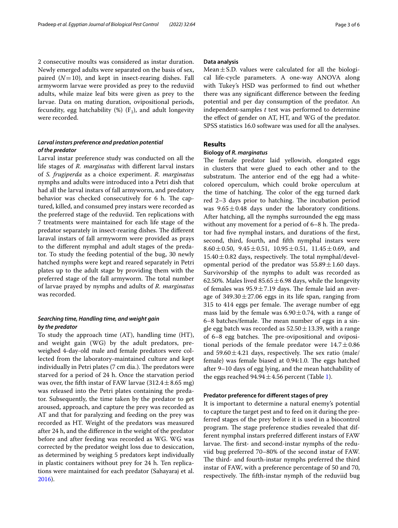2 consecutive moults was considered as instar duration. Newly emerged adults were separated on the basis of sex, paired  $(N=10)$ , and kept in insect-rearing dishes. Fall armyworm larvae were provided as prey to the reduviid adults, while maize leaf bits were given as prey to the larvae. Data on mating duration, ovipositional periods, fecundity, egg hatchability  $(\%)$  (F<sub>1</sub>), and adult longevity were recorded.

# *Larval instars preference and predation potential of the predator*

Larval instar preference study was conducted on all the life stages of *R. marginatus* with diferent larval instars of *S. frugiperda* as a choice experiment. *R. marginatus* nymphs and adults were introduced into a Petri dish that had all the larval instars of fall armyworm, and predatory behavior was checked consecutively for 6 h. The captured, killed, and consumed prey instars were recorded as the preferred stage of the reduviid. Ten replications with 7 treatments were maintained for each life stage of the predator separately in insect-rearing dishes. The different laraval instars of fall armyworm were provided as prays to the diferent nymphal and adult stages of the predator. To study the feeding potential of the bug, 30 newly hatched nymphs were kept and reared separately in Petri plates up to the adult stage by providing them with the preferred stage of the fall armyworm. The total number of larvae prayed by nymphs and adults of *R. marginatus* was recorded.

# *Searching time, Handling time, and weight gain by the predator*

To study the approach time (AT), handling time (HT), and weight gain (WG) by the adult predators, preweighed 4-day-old male and female predators were collected from the laboratory-maintained culture and kept individually in Petri plates (7 cm dia.). The predators were starved for a period of 24 h. Once the starvation period was over, the fifth instar of FAW larvae  $(312.4 \pm 8.65 \text{ mg})$ was released into the Petri plates containing the predator. Subsequently, the time taken by the predator to get aroused, approach, and capture the prey was recorded as AT and that for paralyzing and feeding on the prey was recorded as HT. Weight of the predators was measured after 24 h, and the diference in the weight of the predator before and after feeding was recorded as WG. WG was corrected by the predator weight loss due to desiccation, as determined by weighing 5 predators kept individually in plastic containers without prey for 24 h. Ten replications were maintained for each predator (Sahayaraj et al. [2016](#page-5-7)).

## **Data analysis**

Mean $\pm$ S.D. values were calculated for all the biological life-cycle parameters. A one-way ANOVA along with Tukey's HSD was performed to fnd out whether there was any signifcant diference between the feeding potential and per day consumption of the predator. An independent-samples *t* test was performed to determine the efect of gender on AT, HT, and WG of the predator. SPSS statistics 16.0 software was used for all the analyses.

# **Results**

## **Biology of** *R. marginatus*

The female predator laid yellowish, elongated eggs in clusters that were glued to each other and to the substratum. The anterior end of the egg had a whitecolored operculum, which could broke operculum at the time of hatching. The color of the egg turned dark red  $2-3$  days prior to hatching. The incubation period was  $9.65 \pm 0.48$  days under the laboratory conditions. After hatching, all the nymphs surrounded the egg mass without any movement for a period of  $6-8$  h. The predator had fve nymphal instars, and durations of the frst, second, third, fourth, and ffth nymphal instars were 8.60 $\pm$ 0.50, 9.45 $\pm$ 0.51, 10.95 $\pm$ 0.51, 11.45 $\pm$ 0.69, and  $15.40 \pm 0.82$  days, respectively. The total nymphal/developmental period of the predator was  $55.89 \pm 1.60$  days. Survivorship of the nymphs to adult was recorded as 62.50%. Males lived  $85.65 \pm 6.98$  days, while the longevity of females was  $95.9 \pm 7.19$  days. The female laid an average of  $349.30 \pm 27.06$  eggs in its life span, ranging from 315 to 414 eggs per female. The average number of egg mass laid by the female was  $6.90 \pm 0.74$ , with a range of 6–8 batches/female. The mean number of eggs in a single egg batch was recorded as  $52.50 \pm 13.39$ , with a range of  $6-8$  egg batches. The pre-ovipositional and ovipositional periods of the female predator were  $14.7 \pm 0.86$ and  $59.60 \pm 4.21$  days, respectively. The sex ratio (male/ female) was female biased at 0.94:1.0. The eggs hatched after 9–10 days of egg lying, and the mean hatchability of the eggs reached  $94.94 \pm 4.56$  percent (Table [1](#page-3-0)).

# **Predator preference for diferent stages of prey**

It is important to determine a natural enemy's potential to capture the target pest and to feed on it during the preferred stages of the prey before it is used in a biocontrol program. The stage preference studies revealed that different nymphal instars preferred diferent instars of FAW larvae. The first- and second-instar nymphs of the reduviid bug preferred 70–80% of the second instar of FAW. The third- and fourth-instar nymphs preferred the third instar of FAW, with a preference percentage of 50 and 70, respectively. The fifth-instar nymph of the reduviid bug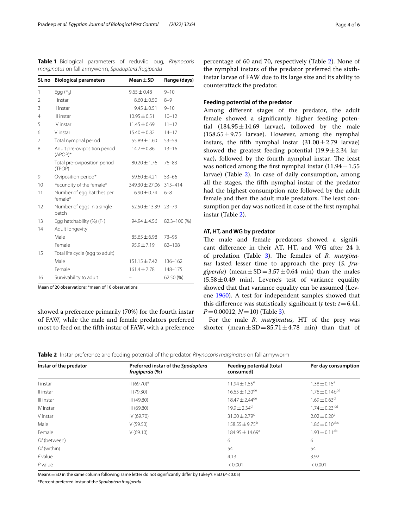| Sl. no | <b>Biological parameters</b>              | Mean $\pm$ SD      | Range (days)   |
|--------|-------------------------------------------|--------------------|----------------|
| 1      | Egg $(F_0)$                               | $9.65 + 0.48$      | $9 - 10$       |
| 2      | l instar                                  | $8.60 \pm 0.50$    | $8 - 9$        |
| 3      | Il instar                                 | $9.45 \pm 0.51$    | $9 - 10$       |
| 4      | III instar                                | $10.95 \pm 0.51$   | $10 - 12$      |
| 5      | IV instar                                 | $11.45 \pm 0.69$   | $11 - 12$      |
| 6      | V instar                                  | $15.40 \pm 0.82$   | $14 - 17$      |
| 7      | Total nymphal period                      | $55.89 \pm 1.60$   | $53 - 59$      |
| 8      | Adult pre-oviposition period<br>$(APOP)*$ | $14.7 \pm 0.86$    | $13 - 16$      |
|        | Total pre-oviposition period<br>(TPOP)    | $80.20 \pm 1.76$   | $76 - 83$      |
| 9      | Oviposition period*                       | $59.60 \pm 4.21$   | $53 - 66$      |
| 10     | Fecundity of the female*                  | $349.30 \pm 27.06$ | 315-414        |
| 11     | Number of egg batches per<br>female*      | $6.90 \pm 0.74$    | $6 - 8$        |
| 12     | Number of eggs in a single<br>batch       | $52.50 \pm 13.39$  | $23 - 79$      |
| 13     | Egg hatchability $(\%)$ (F <sub>1</sub> ) | $94.94 \pm 4.56$   | $82.3 - 100(%$ |
| 14     | Adult longevity                           |                    |                |
|        | Male                                      | $85.65 \pm 6.98$   | $73 - 95$      |
|        | Female                                    | $95.9 \pm 7.19$    | $82 - 108$     |
| 15     | Total life cycle (egg to adult)           |                    |                |
|        | Male                                      | $151.15 \pm 7.42$  | $136 - 162$    |
|        | Female                                    | $161.4 + 7.78$     | 148-175        |
| 16     | Survivability to adult                    |                    | 62.50 (%)      |

<span id="page-3-0"></span>**Table 1** Biological parameters of reduviid bug, *Rhynocoris marginatus* on fall armyworm, *Spodoptera frugiperda*

Mean of 20 observations; \*mean of 10 observations

showed a preference primarily (70%) for the fourth instar of FAW, while the male and female predators preferred most to feed on the ffth instar of FAW, with a preference

percentage of 60 and 70, respectively (Table [2](#page-3-1)). None of the nymphal instars of the predator preferred the sixthinstar larvae of FAW due to its large size and its ability to counterattack the predator.

# **Feeding potential of the predator**

Among diferent stages of the predator, the adult female showed a signifcantly higher feeding potential  $(184.95 \pm 14.69$  larvae), followed by the male  $(158.55 \pm 9.75$  larvae). However, among the nymphal instars, the fifth nymphal instar  $(31.00 \pm 2.79)$  larvae) showed the greatest feeding potential  $(19.9 \pm 2.34$  larvae), followed by the fourth nymphal instar. The least was noticed among the first nymphal instar  $(11.94 \pm 1.55$ larvae) (Table [2](#page-3-1)). In case of daily consumption, among all the stages, the ffth nymphal instar of the predator had the highest consumption rate followed by the adult female and then the adult male predators. The least consumption per day was noticed in case of the frst nymphal instar (Table [2](#page-3-1)).

## **AT, HT, and WG by predator**

The male and female predators showed a significant diference in their AT, HT, and WG after 24 h of predation (Table [3\)](#page-4-0). The females of *R. marginatus* lasted lesser time to approach the prey (*S. frugiperda*) (mean  $\pm$  SD = 3.57  $\pm$  0.64 min) than the males  $(5.58 \pm 0.49 \text{ min})$ . Levene's test of variance equality showed that that variance equality can be assumed (Levene [1960](#page-5-8)). A test for independent samples showed that this difference was statistically significant ( $t$  test:  $t = 6.41$ , *P*=0.00012, *N*=10) (Table [3](#page-4-0)).

For the male *R. marginatus,* HT of the prey was shorter (mean  $\pm$  SD = 85.71  $\pm$  4.78 min) than that of

<span id="page-3-1"></span>

|  |  | Table 2 Instar preference and feeding potential of the predator, Rhynocoris marginatus on fall armyworm |  |  |  |  |
|--|--|---------------------------------------------------------------------------------------------------------|--|--|--|--|
|--|--|---------------------------------------------------------------------------------------------------------|--|--|--|--|

| Instar of the predator | Preferred instar of the Spodoptera<br>frugiperda (%) | Feeding potential (total<br>consumed) | Per day consumption             |
|------------------------|------------------------------------------------------|---------------------------------------|---------------------------------|
| l instar               | $II(69.70)$ *                                        | $11.94 \pm 1.55$ <sup>e</sup>         | $1.38 \pm 0.15^e$               |
| Il instar              | (79.30)                                              | $16.65 \pm 1.30$ <sup>de</sup>        | $1.76 \pm 0.14$ b <sup>cd</sup> |
| III instar             | III (49.80)                                          | $18.47 \pm 2.44$ <sup>de</sup>        | $1.69 \pm 0.63^{\mathrm{d}}$    |
| IV instar              | III (69.80)                                          | $19.9 \pm 2.34$ <sup>d</sup>          | $1.74 \pm 0.23$ cd              |
| V instar               | IV (69.70)                                           | $31.00 \pm 2.79$ <sup>c</sup>         | $2.02 \pm 0.20$ <sup>a</sup>    |
| Male                   | V(59.50)                                             | $158.55 \pm 9.75^{\circ}$             | $1.86 \pm 0.10^{\text{abc}}$    |
| Female                 | V(69.10)                                             | 184.95 ± 14.69 <sup>a</sup>           | $1.93 \pm 0.11^{ab}$            |
| Df (between)           |                                                      | 6                                     | 6                               |
| $Df$ (within)          |                                                      | 54                                    | 54                              |
| $F$ value              |                                                      | 4.13                                  | 3.92                            |
| $P$ value              |                                                      | < 0.001                               | < 0.001                         |

Means±SD in the same column following same letter do not signifcantly difer by Tukey's HSD (*P*<0.05)

\*Percent preferred instar of the *Spodoptera frugiperda*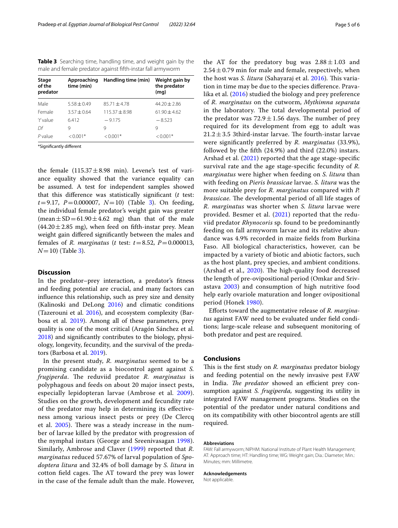<span id="page-4-0"></span>**Table 3** Searching time, handling time, and weight gain by the male and female predator against ffth-instar fall armyworm

| Stage<br>of the<br>predator | Approaching<br>time (min) | Handling time (min) | Weight gain by<br>the predator<br>(mq) |
|-----------------------------|---------------------------|---------------------|----------------------------------------|
| Male                        | $5.58 + 0.49$             | $85.71 + 4.78$      | $44.20 + 2.86$                         |
| Female                      | $3.57 + 0.64$             | $115.37 + 8.98$     | $61.90 + 4.62$                         |
| 't' value                   | 6.412                     | $-9.175$            | $-8.523$                               |
| Df                          | 9                         | 9                   | 9                                      |
| P value                     | $< 0.001*$                | $< 0.001*$          | $< 0.001*$                             |

\*Signifcantly diferent

the female  $(115.37 \pm 8.98 \text{ min})$ . Levene's test of variance equality showed that the variance equality can be assumed. A test for independent samples showed that this diference was statistically signifcant (*t* test: *t*=9.17, *P*=0.000007, *N*=10) (Table [3\)](#page-4-0). On feeding, the individual female predator's weight gain was greater  $(mean \pm SD = 61.90 \pm 4.62 \text{ mg})$  than that of the male  $(44.20 \pm 2.85 \text{ mg})$ , when feed on fifth-instar prey. Mean weight gain difered signifcantly between the males and females of *R. marginatus* (*t* test:  $t = 8.52$ ,  $P = 0.000013$ , *N*=10) (Table [3](#page-4-0)).

# **Discussion**

In the predator–prey interaction, a predator's ftness and feeding potential are crucial, and many factors can infuence this relationship, such as prey size and density (Kalinoski and DeLong [2016](#page-5-9)) and climatic conditions (Tazerouni et al. [2016](#page-5-10)), and ecosystem complexity (Barbosa et al. [2019](#page-5-11)). Among all of these parameters, prey quality is one of the most critical (Aragón Sánchez et al. [2018](#page-5-12)) and signifcantly contributes to the biology, physiology, longevity, fecundity, and the survival of the predators (Barbosa et al. [2019\)](#page-5-11).

In the present study, *R. marginatus* seemed to be a promising candidate as a biocontrol agent against *S. frugiperda*. The reduviid predator *R. marginatus* is polyphagous and feeds on about 20 major insect pests, especially lepidopteran larvae (Ambrose et al. [2009\)](#page-5-13). Studies on the growth, development and fecundity rate of the predator may help in determining its efectiveness among various insect pests or prey (De Clercq et al. [2005\)](#page-5-14). There was a steady increase in the number of larvae killed by the predator with progression of the nymphal instars (George and Sreenivasagan [1998\)](#page-5-15). Similarly, Ambrose and Claver ([1999\)](#page-5-16) reported that *R. marginatus* reduced 57.67% of larval population of *Spodoptera litura* and 32.4% of boll damage by *S. litura* in cotton field cages. The AT toward the prey was lower in the case of the female adult than the male. However, the AT for the predatory bug was  $2.88 \pm 1.03$  and  $2.54 \pm 0.79$  min for male and female, respectively, when the host was *S. litura* (Sahayaraj et al. [2016\)](#page-5-7). This variation in time may be due to the species diference. Pravalika et al. ([2016\)](#page-5-17) studied the biology and prey preference of *R. marginatus* on the cutworm, *Mythimna separata* in the laboratory. The total developmental period of the predator was  $72.9 \pm 1.56$  days. The number of prey required for its development from egg to adult was  $21.2 \pm 3.5$  3third-instar larvae. The fourth-instar larvae were signifcantly preferred by *R. marginatus* (33.9%),

followed by the ffth (24.9%) and third (22.0%) instars. Arshad et al. ([2021](#page-5-18)) reported that the age stage-specifc survival rate and the age stage-specifc fecundity of *R. marginatus* were higher when feeding on *S. litura* than with feeding on *Pieris brassicae* larvae. *S. litura* was the more suitable prey for *R. marginatus* compared with *P. brassicae.* The developmental period of all life stages of *R. marginatus* was shorter when *S. litura* larvae were provided. Besmer et al. [\(2021](#page-5-19)) reported that the reduviid predator *Rhynocoris* sp. found to be predominantly feeding on fall armyworm larvae and its relative abundance was 4.9% recorded in maize felds from Burkina Faso. All biological characteristics, however, can be impacted by a variety of biotic and abiotic factors, such as the host plant, prey species, and ambient conditions. (Arshad et al.,  $2020$ ). The high-quality food decreased the length of pre-ovipositional period (Omkar and Srivastava [2003](#page-5-21)) and consumption of high nutritive food help early ovariole maturation and longer ovipositional period (Honek [1980\)](#page-5-22).

Eforts toward the augmentative release of *R. marginatus* against FAW need to be evaluated under feld conditions; large-scale release and subsequent monitoring of both predator and pest are required.

#### **Conclusions**

This is the first study on *R. marginatus* predator biology and feeding potential on the newly invasive pest FAW in India. *The predator* showed an efficient prey consumption against *S. frugiperda,* suggesting its utility in integrated FAW management programs. Studies on the potential of the predator under natural conditions and on its compatibility with other biocontrol agents are still required.

## **Abbreviations**

FAW: Fall armyworm; NIPHM: National Institute of Plant Health Management; AT: Approach time; HT: Handling time; WG: Weight gain; Dia.: Diameter; Min.: Minutes; mm: Millimetre.

#### **Acknowledgements**

Not applicable.